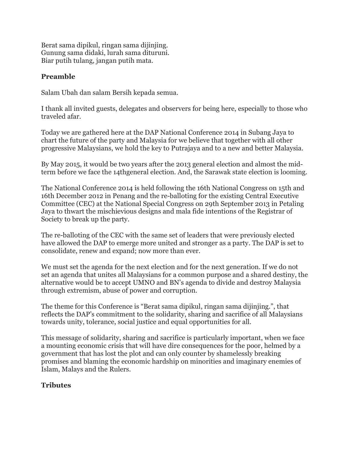Berat sama dipikul, ringan sama dijinjing. Gunung sama didaki, lurah sama dituruni. Biar putih tulang, jangan putih mata.

## Preamble

Salam Ubah dan salam Bersih kepada semua.

I thank all invited guests, delegates and observers for being here, especially to those who traveled afar.

Today we are gathered here at the DAP National Conference 2014 in Subang Jaya to chart the future of the party and Malaysia for we believe that together with all other progressive Malaysians, we hold the key to Putrajaya and to a new and better Malaysia.

By May 2015, it would be two years after the 2013 general election and almost the midterm before we face the 14thgeneral election. And, the Sarawak state election is looming.

The National Conference 2014 is held following the 16th National Congress on 15th and 16th December 2012 in Penang and the re-balloting for the existing Central Executive Committee (CEC) at the National Special Congress on 29th September 2013 in Petaling Jaya to thwart the mischievious designs and mala fide intentions of the Registrar of Society to break up the party.

The re-balloting of the CEC with the same set of leaders that were previously elected have allowed the DAP to emerge more united and stronger as a party. The DAP is set to consolidate, renew and expand; now more than ever.

We must set the agenda for the next election and for the next generation. If we do not set an agenda that unites all Malaysians for a common purpose and a shared destiny, the alternative would be to accept UMNO and BN's agenda to divide and destroy Malaysia through extremism, abuse of power and corruption.

The theme for this Conference is "Berat sama dipikul, ringan sama dijinjing.", that reflects the DAP's commitment to the solidarity, sharing and sacrifice of all Malaysians towards unity, tolerance, social justice and equal opportunities for all.

This message of solidarity, sharing and sacrifice is particularly important, when we face a mounting economic crisis that will have dire consequences for the poor, helmed by a government that has lost the plot and can only counter by shamelessly breaking promises and blaming the economic hardship on minorities and imaginary enemies of Islam, Malays and the Rulers.

# Tributes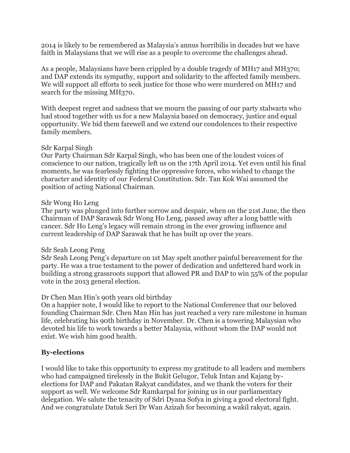2014 is likely to be remembered as Malaysia's annus horribilis in decades but we have faith in Malaysians that we will rise as a people to overcome the challenges ahead.

As a people, Malaysians have been crippled by a double tragedy of MH17 and MH370; and DAP extends its sympathy, support and solidarity to the affected family members. We will support all efforts to seek justice for those who were murdered on MH17 and search for the missing MH370.

With deepest regret and sadness that we mourn the passing of our party stalwarts who had stood together with us for a new Malaysia based on democracy, justice and equal opportunity. We bid them farewell and we extend our condolences to their respective family members.

#### Sdr Karpal Singh

Our Party Chairman Sdr Karpal Singh, who has been one of the loudest voices of conscience to our nation, tragically left us on the 17th April 2014. Yet even until his final moments, he was fearlessly fighting the oppressive forces, who wished to change the character and identity of our Federal Constitution. Sdr. Tan Kok Wai assumed the position of acting National Chairman.

#### Sdr Wong Ho Leng

The party was plunged into further sorrow and despair, when on the 21st June, the then Chairman of DAP Sarawak Sdr Wong Ho Leng, passed away after a long battle with cancer. Sdr Ho Leng's legacy will remain strong in the ever growing influence and current leadership of DAP Sarawak that he has built up over the years.

#### Sdr Seah Leong Peng

Sdr Seah Leong Peng's departure on 1st May spelt another painful bereavement for the party. He was a true testament to the power of dedication and unfettered hard work in building a strong grassroots support that allowed PR and DAP to win 55% of the popular vote in the 2013 general election.

### Dr Chen Man Hin's 90th years old birthday

On a happier note, I would like to report to the National Conference that our beloved founding Chairman Sdr. Chen Man Hin has just reached a very rare milestone in human life, celebrating his 90th birthday in November. Dr. Chen is a towering Malaysian who devoted his life to work towards a better Malaysia, without whom the DAP would not exist. We wish him good health.

### By-elections

I would like to take this opportunity to express my gratitude to all leaders and members who had campaigned tirelessly in the Bukit Gelugor, Teluk Intan and Kajang byelections for DAP and Pakatan Rakyat candidates, and we thank the voters for their support as well. We welcome Sdr Ramkarpal for joining us in our parliamentary delegation. We salute the tenacity of Sdri Dyana Sofya in giving a good electoral fight. And we congratulate Datuk Seri Dr Wan Azizah for becoming a wakil rakyat, again.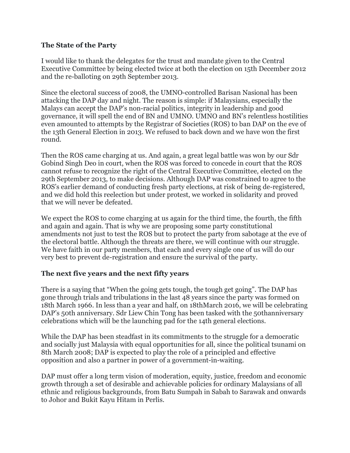### The State of the Party

I would like to thank the delegates for the trust and mandate given to the Central Executive Committee by being elected twice at both the election on 15th December 2012 and the re-balloting on 29th September 2013.

Since the electoral success of 2008, the UMNO-controlled Barisan Nasional has been attacking the DAP day and night. The reason is simple: if Malaysians, especially the Malays can accept the DAP's non-racial politics, integrity in leadership and good governance, it will spell the end of BN and UMNO. UMNO and BN's relentless hostilities even amounted to attempts by the Registrar of Societies (ROS) to ban DAP on the eve of the 13th General Election in 2013. We refused to back down and we have won the first round.

Then the ROS came charging at us. And again, a great legal battle was won by our Sdr Gobind Singh Deo in court, when the ROS was forced to concede in court that the ROS cannot refuse to recognize the right of the Central Executive Committee, elected on the 29th September 2013, to make decisions. Although DAP was constrained to agree to the ROS's earlier demand of conducting fresh party elections, at risk of being de-registered, and we did hold this reelection but under protest, we worked in solidarity and proved that we will never be defeated.

We expect the ROS to come charging at us again for the third time, the fourth, the fifth and again and again. That is why we are proposing some party constitutional amendments not just to test the ROS but to protect the party from sabotage at the eve of the electoral battle. Although the threats are there, we will continue with our struggle. We have faith in our party members, that each and every single one of us will do our very best to prevent de-registration and ensure the survival of the party.

# The next five years and the next fifty years

There is a saying that "When the going gets tough, the tough get going". The DAP has gone through trials and tribulations in the last 48 years since the party was formed on 18th March 1966. In less than a year and half, on 18thMarch 2016, we will be celebrating DAP's 50th anniversary. Sdr Liew Chin Tong has been tasked with the 50thanniversary celebrations which will be the launching pad for the 14th general elections.

While the DAP has been steadfast in its commitments to the struggle for a democratic and socially just Malaysia with equal opportunities for all, since the political tsunami on 8th March 2008; DAP is expected to play the role of a principled and effective opposition and also a partner in power of a government-in-waiting.

DAP must offer a long term vision of moderation, equity, justice, freedom and economic growth through a set of desirable and achievable policies for ordinary Malaysians of all ethnic and religious backgrounds, from Batu Sumpah in Sabah to Sarawak and onwards to Johor and Bukit Kayu Hitam in Perlis.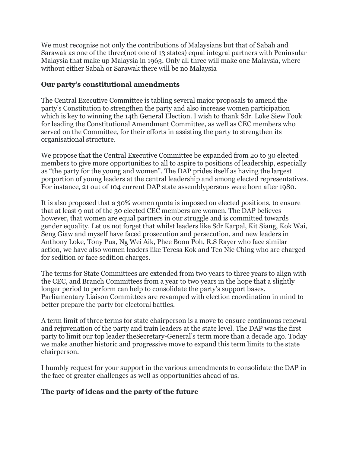We must recognise not only the contributions of Malaysians but that of Sabah and Sarawak as one of the three(not one of 13 states) equal integral partners with Peninsular Malaysia that make up Malaysia in 1963. Only all three will make one Malaysia, where without either Sabah or Sarawak there will be no Malaysia

### Our party's constitutional amendments

The Central Executive Committee is tabling several major proposals to amend the party's Constitution to strengthen the party and also increase women participation which is key to winning the 14th General Election. I wish to thank Sdr. Loke Siew Fook for leading the Constitutional Amendment Committee, as well as CEC members who served on the Committee, for their efforts in assisting the party to strengthen its organisational structure.

We propose that the Central Executive Committee be expanded from 20 to 30 elected members to give more opportunities to all to aspire to positions of leadership, especially as "the party for the young and women". The DAP prides itself as having the largest porportion of young leaders at the central leadership and among elected representatives. For instance, 21 out of 104 current DAP state assemblypersons were born after 1980.

It is also proposed that a 30% women quota is imposed on elected positions, to ensure that at least 9 out of the 30 elected CEC members are women. The DAP believes however, that women are equal partners in our struggle and is committed towards gender equality. Let us not forget that whilst leaders like Sdr Karpal, Kit Siang, Kok Wai, Seng Giaw and myself have faced prosecution and persecution, and new leaders in Anthony Loke, Tony Pua, Ng Wei Aik, Phee Boon Poh, R.S Rayer who face similar action, we have also women leaders like Teresa Kok and Teo Nie Ching who are charged for sedition or face sedition charges.

The terms for State Committees are extended from two years to three years to align with the CEC, and Branch Committees from a year to two years in the hope that a slightly longer period to perform can help to consolidate the party's support bases. Parliamentary Liaison Committees are revamped with election coordination in mind to better prepare the party for electoral battles.

A term limit of three terms for state chairperson is a move to ensure continuous renewal and rejuvenation of the party and train leaders at the state level. The DAP was the first party to limit our top leader theSecretary-General's term more than a decade ago. Today we make another historic and progressive move to expand this term limits to the state chairperson.

I humbly request for your support in the various amendments to consolidate the DAP in the face of greater challenges as well as opportunities ahead of us.

### The party of ideas and the party of the future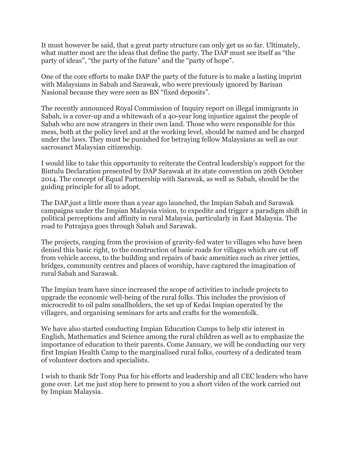It must however be said, that a great party structure can only get us so far. Ultimately, what matter most are the ideas that define the party. The DAP must see itself as "the party of ideas", "the party of the future" and the "party of hope".

One of the core efforts to make DAP the party of the future is to make a lasting imprint with Malaysians in Sabah and Sarawak, who were previously ignored by Barisan Nasional because they were seen as BN "fixed deposits".

The recently announced Royal Commission of Inquiry report on illegal immigrants in Sabah, is a cover-up and a whitewash of a 40-year long injustice against the people of Sabah who are now strangers in their own land. Those who were responsible for this mess, both at the policy level and at the working level, should be named and be charged under the laws. They must be punished for betraying fellow Malaysians as well as our sacrosanct Malaysian citizenship.

I would like to take this opportunity to reiterate the Central leadership's support for the Bintulu Declaration presented by DAP Sarawak at its state convention on 26th October 2014. The concept of Equal Partnership with Sarawak, as well as Sabah, should be the guiding principle for all to adopt.

The DAP,just a little more than a year ago launched, the Impian Sabah and Sarawak campaigns under the Impian Malaysia vision, to expedite and trigger a paradigm shift in political perceptions and affinity in rural Malaysia, particularly in East Malaysia. The road to Putrajaya goes through Sabah and Sarawak.

The projects, ranging from the provision of gravity-fed water to villages who have been denied this basic right, to the construction of basic roads for villages which are cut off from vehicle access, to the building and repairs of basic amenities such as river jetties, bridges, community centres and places of worship, have captured the imagination of rural Sabah and Sarawak.

The Impian team have since increased the scope of activities to include projects to upgrade the economic well-being of the rural folks. This includes the provision of microcredit to oil palm smallholders, the set up of Kedai Impian operated by the villagers, and organising seminars for arts and crafts for the womenfolk.

We have also started conducting Impian Education Camps to help stir interest in English, Mathematics and Science among the rural children as well as to emphasize the importance of education to their parents. Come January, we will be conducting our very first Impian Health Camp to the marginalised rural folks, courtesy of a dedicated team of volunteer doctors and specialists.

I wish to thank Sdr Tony Pua for his efforts and leadership and all CEC leaders who have gone over. Let me just stop here to present to you a short video of the work carried out by Impian Malaysia.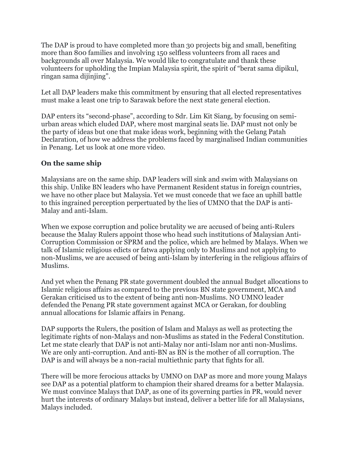The DAP is proud to have completed more than 30 projects big and small, benefiting more than 800 families and involving 150 selfless volunteers from all races and backgrounds all over Malaysia. We would like to congratulate and thank these volunteers for upholding the Impian Malaysia spirit, the spirit of "berat sama dipikul, ringan sama dijinjing".

Let all DAP leaders make this commitment by ensuring that all elected representatives must make a least one trip to Sarawak before the next state general election.

DAP enters its "second-phase", according to Sdr. Lim Kit Siang, by focusing on semiurban areas which eluded DAP, where most marginal seats lie. DAP must not only be the party of ideas but one that make ideas work, beginning with the Gelang Patah Declaration, of how we address the problems faced by marginalised Indian communities in Penang. Let us look at one more video.

### On the same ship

Malaysians are on the same ship. DAP leaders will sink and swim with Malaysians on this ship. Unlike BN leaders who have Permanent Resident status in foreign countries, we have no other place but Malaysia. Yet we must concede that we face an uphill battle to this ingrained perception perpertuated by the lies of UMNO that the DAP is anti-Malay and anti-Islam.

When we expose corruption and police brutality we are accused of being anti-Rulers because the Malay Rulers appoint those who head such institutions of Malaysian Anti-Corruption Commission or SPRM and the police, which are helmed by Malays. When we talk of Islamic religious edicts or fatwa applying only to Muslims and not applying to non-Muslims, we are accused of being anti-Islam by interfering in the religious affairs of Muslims.

And yet when the Penang PR state government doubled the annual Budget allocations to Islamic religious affairs as compared to the previous BN state government, MCA and Gerakan criticised us to the extent of being anti non-Muslims. NO UMNO leader defended the Penang PR state government against MCA or Gerakan, for doubling annual allocations for Islamic affairs in Penang.

DAP supports the Rulers, the position of Islam and Malays as well as protecting the legitimate rights of non-Malays and non-Muslims as stated in the Federal Constitution. Let me state clearly that DAP is not anti-Malay nor anti-Islam nor anti non-Muslims. We are only anti-corruption. And anti-BN as BN is the mother of all corruption. The DAP is and will always be a non-racial multiethnic party that fights for all.

There will be more ferocious attacks by UMNO on DAP as more and more young Malays see DAP as a potential platform to champion their shared dreams for a better Malaysia. We must convince Malays that DAP, as one of its governing parties in PR, would never hurt the interests of ordinary Malays but instead, deliver a better life for all Malaysians, Malays included.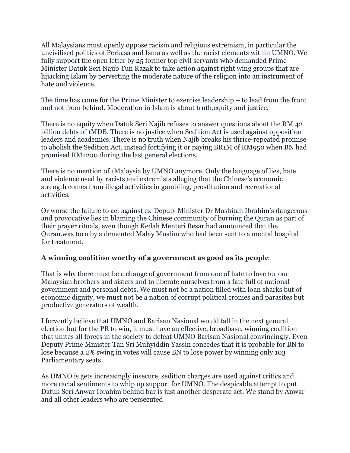All Malaysians must openly oppose racism and religious extremism, in particular the uncivilised politics of Perkasa and Isma as well as the racist elements within UMNO. We fully support the open letter by 25 former top civil servants who demanded Prime Minister Datuk Seri Najib Tun Razak to take action against right wing groups that are hijacking Islam by perverting the moderate nature of the religion into an instrument of hate and violence.

The time has come for the Prime Minister to exercise leadership – to lead from the front and not from behind. Moderation in Islam is about truth,equity and justice.

There is no equity when Datuk Seri Najib refuses to answer questions about the RM 42 billion debts of 1MDB. There is no justice when Sedition Act is used against opposition leaders and academics. There is no truth when Najib breaks his thrice-repeated promise to abolish the Sedition Act, instead fortifying it or paying BR1M of RM950 when BN had promised RM1200 during the last general elections.

There is no mention of 1Malaysia by UMNO anymore. Only the language of lies, hate and violence used by racists and extremists alleging that the Chinese's economic strength comes from illegal activities in gambling, prostitution and recreational activities.

Or worse the failure to act against ex-Deputy Minister Dr Mashitah Ibrahim's dangerous and provocative lies in blaming the Chinese community of burning the Quran as part of their prayer rituals, even though Kedah Menteri Besar had announced that the Quran.was torn by a demented Malay Muslim who had been sent to a mental hospital for treatment.

### A winning coalition worthy of a government as good as its people

That is why there must be a change of government from one of hate to love for our Malaysian brothers and sisters and to liberate ourselves from a fate full of national government and personal debts. We must not be a nation filled with loan sharks but of economic dignity, we must not be a nation of corrupt political cronies and parasites but productive generators of wealth.

I fervently believe that UMNO and Barisan Nasional would fall in the next general election but for the PR to win, it must have an effective, broadbase, winning coalition that unites all forces in the society to defeat UMNO Barisan Nasional convincingly. Even Deputy Prime Minister Tan Sri Muhyiddin Yassin concedes that it is probable for BN to lose because a 2% swing in votes will cause BN to lose power by winning only 103 Parliamentary seats.

As UMNO is gets increasingly insecure, sedition charges are used against critics and more racial sentiments to whip up support for UMNO. The despicable attempt to put Datuk Seri Anwar Ibrahim behind bar is just another desperate act. We stand by Anwar and all other leaders who are persecuted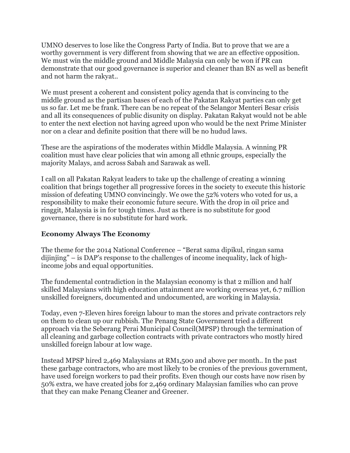UMNO deserves to lose like the Congress Party of India. But to prove that we are a worthy government is very different from showing that we are an effective opposition. We must win the middle ground and Middle Malaysia can only be won if PR can demonstrate that our good governance is superior and cleaner than BN as well as benefit and not harm the rakyat..

We must present a coherent and consistent policy agenda that is convincing to the middle ground as the partisan bases of each of the Pakatan Rakyat parties can only get us so far. Let me be frank. There can be no repeat of the Selangor Menteri Besar crisis and all its consequences of public disunity on display. Pakatan Rakyat would not be able to enter the next election not having agreed upon who would be the next Prime Minister nor on a clear and definite position that there will be no hudud laws.

These are the aspirations of the moderates within Middle Malaysia. A winning PR coalition must have clear policies that win among all ethnic groups, especially the majority Malays, and across Sabah and Sarawak as well.

I call on all Pakatan Rakyat leaders to take up the challenge of creating a winning coalition that brings together all progressive forces in the society to execute this historic mission of defeating UMNO convincingly. We owe the 52% voters who voted for us, a responsibility to make their economic future secure. With the drop in oil price and ringgit, Malaysia is in for tough times. Just as there is no substitute for good governance, there is no substitute for hard work.

### Economy Always The Economy

The theme for the 2014 National Conference – "Berat sama dipikul, ringan sama dijinjing" – is DAP's response to the challenges of income inequality, lack of highincome jobs and equal opportunities.

The fundemental contradiction in the Malaysian economy is that 2 million and half skilled Malaysians with high education attainment are working overseas yet, 6.7 million unskilled foreigners, documented and undocumented, are working in Malaysia.

Today, even 7-Eleven hires foreign labour to man the stores and private contractors rely on them to clean up our rubbish. The Penang State Government tried a different approach via the Seberang Perai Municipal Council(MPSP) through the termination of all cleaning and garbage collection contracts with private contractors who mostly hired unskilled foreign labour at low wage.

Instead MPSP hired 2,469 Malaysians at RM1,500 and above per month.. In the past these garbage contractors, who are most likely to be cronies of the previous government, have used foreign workers to pad their profits. Even though our costs have now risen by 50% extra, we have created jobs for 2,469 ordinary Malaysian families who can prove that they can make Penang Cleaner and Greener.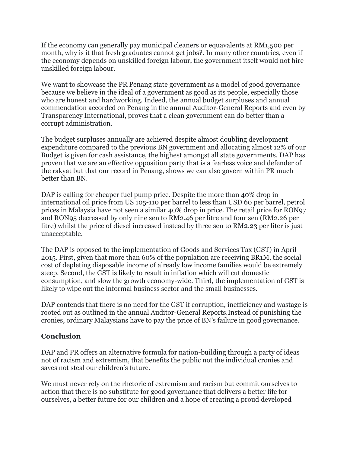If the economy can generally pay municipal cleaners or equavalents at RM1,500 per month, why is it that fresh graduates cannot get jobs?. In many other countries, even if the economy depends on unskilled foreign labour, the government itself would not hire unskilled foreign labour.

We want to showcase the PR Penang state government as a model of good governance because we believe in the ideal of a government as good as its people, especially those who are honest and hardworking. Indeed, the annual budget surpluses and annual commendation accorded on Penang in the annual Auditor-General Reports and even by Transparency International, proves that a clean government can do better than a corrupt administration.

The budget surpluses annually are achieved despite almost doubling development expenditure compared to the previous BN government and allocating almost 12% of our Budget is given for cash assistance, the highest amongst all state governments. DAP has proven that we are an effective opposition party that is a fearless voice and defender of the rakyat but that our record in Penang, shows we can also govern within PR much better than BN.

DAP is calling for cheaper fuel pump price. Despite the more than 40% drop in international oil price from US 105-110 per barrel to less than USD 60 per barrel, petrol prices in Malaysia have not seen a similar 40% drop in price. The retail price for RON97 and RON95 decreased by only nine sen to RM2.46 per litre and four sen (RM2.26 per litre) whilst the price of diesel increased instead by three sen to RM2.23 per liter is just unacceptable.

The DAP is opposed to the implementation of Goods and Services Tax (GST) in April 2015. First, given that more than 60% of the population are receiving BR1M, the social cost of depleting disposable income of already low income families would be extremely steep. Second, the GST is likely to result in inflation which will cut domestic consumption, and slow the growth economy-wide. Third, the implementation of GST is likely to wipe out the informal business sector and the small businesses.

DAP contends that there is no need for the GST if corruption, inefficiency and wastage is rooted out as outlined in the annual Auditor-General Reports.Instead of punishing the cronies, ordinary Malaysians have to pay the price of BN's failure in good governance.

# **Conclusion**

DAP and PR offers an alternative formula for nation-building through a party of ideas not of racism and extremism, that benefits the public not the individual cronies and saves not steal our children's future.

We must never rely on the rhetoric of extremism and racism but commit ourselves to action that there is no substitute for good governance that delivers a better life for ourselves, a better future for our children and a hope of creating a proud developed